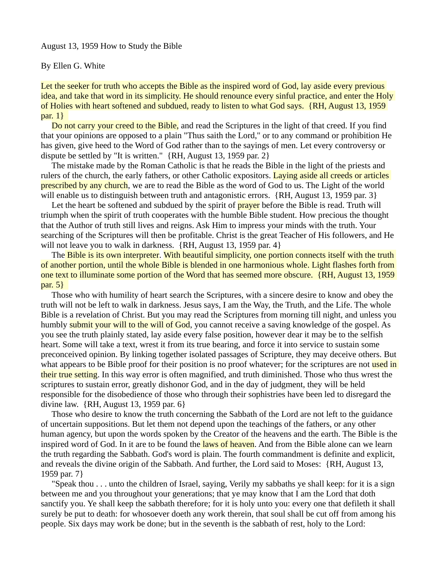## August 13, 1959 How to Study the Bible

## By Ellen G. White

Let the seeker for truth who accepts the Bible as the inspired word of God, lay aside every previous idea, and take that word in its simplicity. He should renounce every sinful practice, and enter the Holy of Holies with heart softened and subdued, ready to listen to what God says. {RH, August 13, 1959  $par. 1$ }

Do not carry your creed to the Bible, and read the Scriptures in the light of that creed. If you find that your opinions are opposed to a plain "Thus saith the Lord," or to any command or prohibition He has given, give heed to the Word of God rather than to the sayings of men. Let every controversy or dispute be settled by "It is written." {RH, August 13, 1959 par. 2}

 The mistake made by the Roman Catholic is that he reads the Bible in the light of the priests and rulers of the church, the early fathers, or other Catholic expositors. Laying aside all creeds or articles prescribed by any church, we are to read the Bible as the word of God to us. The Light of the world will enable us to distinguish between truth and antagonistic errors. {RH, August 13, 1959 par. 3}

Let the heart be softened and subdued by the spirit of **prayer** before the Bible is read. Truth will triumph when the spirit of truth cooperates with the humble Bible student. How precious the thought that the Author of truth still lives and reigns. Ask Him to impress your minds with the truth. Your searching of the Scriptures will then be profitable. Christ is the great Teacher of His followers, and He will not leave you to walk in darkness. {RH, August 13, 1959 par. 4}

The Bible is its own interpreter. With beautiful simplicity, one portion connects itself with the truth of another portion, until the whole Bible is blended in one harmonious whole. Light flashes forth from one text to illuminate some portion of the Word that has seemed more obscure. {RH, August 13, 1959 par. 5}

 Those who with humility of heart search the Scriptures, with a sincere desire to know and obey the truth will not be left to walk in darkness. Jesus says, I am the Way, the Truth, and the Life. The whole Bible is a revelation of Christ. But you may read the Scriptures from morning till night, and unless you humbly submit your will to the will of God, you cannot receive a saving knowledge of the gospel. As you see the truth plainly stated, lay aside every false position, however dear it may be to the selfish heart. Some will take a text, wrest it from its true bearing, and force it into service to sustain some preconceived opinion. By linking together isolated passages of Scripture, they may deceive others. But what appears to be Bible proof for their position is no proof whatever; for the scriptures are not used in their true setting. In this way error is often magnified, and truth diminished. Those who thus wrest the scriptures to sustain error, greatly dishonor God, and in the day of judgment, they will be held responsible for the disobedience of those who through their sophistries have been led to disregard the divine law. {RH, August 13, 1959 par. 6}

 Those who desire to know the truth concerning the Sabbath of the Lord are not left to the guidance of uncertain suppositions. But let them not depend upon the teachings of the fathers, or any other human agency, but upon the words spoken by the Creator of the heavens and the earth. The Bible is the inspired word of God. In it are to be found the laws of heaven. And from the Bible alone can we learn the truth regarding the Sabbath. God's word is plain. The fourth commandment is definite and explicit, and reveals the divine origin of the Sabbath. And further, the Lord said to Moses: {RH, August 13, 1959 par. 7}

 "Speak thou . . . unto the children of Israel, saying, Verily my sabbaths ye shall keep: for it is a sign between me and you throughout your generations; that ye may know that I am the Lord that doth sanctify you. Ye shall keep the sabbath therefore; for it is holy unto you: every one that defileth it shall surely be put to death: for whosoever doeth any work therein, that soul shall be cut off from among his people. Six days may work be done; but in the seventh is the sabbath of rest, holy to the Lord: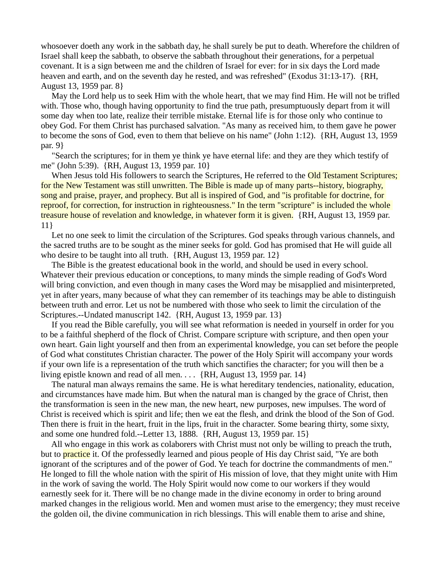whosoever doeth any work in the sabbath day, he shall surely be put to death. Wherefore the children of Israel shall keep the sabbath, to observe the sabbath throughout their generations, for a perpetual covenant. It is a sign between me and the children of Israel for ever: for in six days the Lord made heaven and earth, and on the seventh day he rested, and was refreshed" (Exodus 31:13-17). {RH, August 13, 1959 par. 8}

 May the Lord help us to seek Him with the whole heart, that we may find Him. He will not be trifled with. Those who, though having opportunity to find the true path, presumptuously depart from it will some day when too late, realize their terrible mistake. Eternal life is for those only who continue to obey God. For them Christ has purchased salvation. "As many as received him, to them gave he power to become the sons of God, even to them that believe on his name" (John 1:12). {RH, August 13, 1959 par. 9}

 "Search the scriptures; for in them ye think ye have eternal life: and they are they which testify of me" (John 5:39). {RH, August 13, 1959 par. 10}

When Jesus told His followers to search the Scriptures, He referred to the **Old Testament Scriptures;** for the New Testament was still unwritten. The Bible is made up of many parts--history, biography, song and praise, prayer, and prophecy. But all is inspired of God, and "is profitable for doctrine, for reproof, for correction, for instruction in righteousness." In the term "scripture" is included the whole treasure house of revelation and knowledge, in whatever form it is given. {RH, August 13, 1959 par. 11}

 Let no one seek to limit the circulation of the Scriptures. God speaks through various channels, and the sacred truths are to be sought as the miner seeks for gold. God has promised that He will guide all who desire to be taught into all truth. {RH, August 13, 1959 par. 12}

 The Bible is the greatest educational book in the world, and should be used in every school. Whatever their previous education or conceptions, to many minds the simple reading of God's Word will bring conviction, and even though in many cases the Word may be misapplied and misinterpreted, yet in after years, many because of what they can remember of its teachings may be able to distinguish between truth and error. Let us not be numbered with those who seek to limit the circulation of the Scriptures.--Undated manuscript 142. {RH, August 13, 1959 par. 13}

 If you read the Bible carefully, you will see what reformation is needed in yourself in order for you to be a faithful shepherd of the flock of Christ. Compare scripture with scripture, and then open your own heart. Gain light yourself and then from an experimental knowledge, you can set before the people of God what constitutes Christian character. The power of the Holy Spirit will accompany your words if your own life is a representation of the truth which sanctifies the character; for you will then be a living epistle known and read of all men. . . . {RH, August 13, 1959 par. 14}

 The natural man always remains the same. He is what hereditary tendencies, nationality, education, and circumstances have made him. But when the natural man is changed by the grace of Christ, then the transformation is seen in the new man, the new heart, new purposes, new impulses. The word of Christ is received which is spirit and life; then we eat the flesh, and drink the blood of the Son of God. Then there is fruit in the heart, fruit in the lips, fruit in the character. Some bearing thirty, some sixty, and some one hundred fold.--Letter 13, 1888. {RH, August 13, 1959 par. 15}

 All who engage in this work as colaborers with Christ must not only be willing to preach the truth, but to **practice** it. Of the professedly learned and pious people of His day Christ said, "Ye are both ignorant of the scriptures and of the power of God. Ye teach for doctrine the commandments of men." He longed to fill the whole nation with the spirit of His mission of love, that they might unite with Him in the work of saving the world. The Holy Spirit would now come to our workers if they would earnestly seek for it. There will be no change made in the divine economy in order to bring around marked changes in the religious world. Men and women must arise to the emergency; they must receive the golden oil, the divine communication in rich blessings. This will enable them to arise and shine,